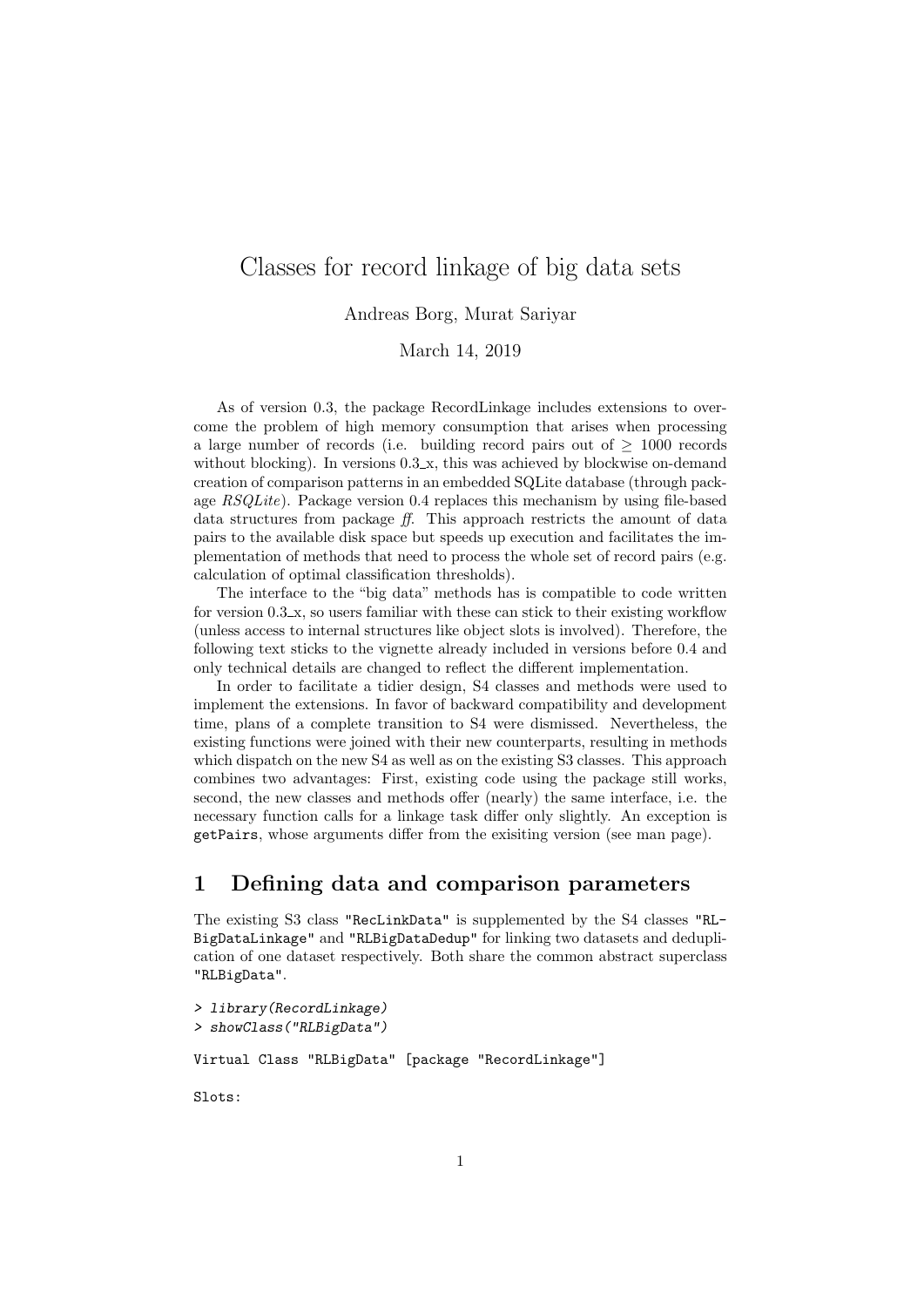# Classes for record linkage of big data sets

Andreas Borg, Murat Sariyar

March 14, 2019

As of version 0.3, the package RecordLinkage includes extensions to overcome the problem of high memory consumption that arises when processing a large number of records (i.e. building record pairs out of  $\geq$  1000 records without blocking). In versions  $0.3 \text{ m}$ , this was achieved by blockwise on-demand creation of comparison patterns in an embedded SQLite database (through package  $RSQLike$ ). Package version 0.4 replaces this mechanism by using file-based data structures from package ff. This approach restricts the amount of data pairs to the available disk space but speeds up execution and facilitates the implementation of methods that need to process the whole set of record pairs (e.g. calculation of optimal classification thresholds).

The interface to the "big data" methods has is compatible to code written for version 0.3 x, so users familiar with these can stick to their existing workflow (unless access to internal structures like object slots is involved). Therefore, the following text sticks to the vignette already included in versions before 0.4 and only technical details are changed to reflect the different implementation.

In order to facilitate a tidier design, S4 classes and methods were used to implement the extensions. In favor of backward compatibility and development time, plans of a complete transition to S4 were dismissed. Nevertheless, the existing functions were joined with their new counterparts, resulting in methods which dispatch on the new S4 as well as on the existing S3 classes. This approach combines two advantages: First, existing code using the package still works, second, the new classes and methods offer (nearly) the same interface, i.e. the necessary function calls for a linkage task differ only slightly. An exception is getPairs, whose arguments differ from the exisiting version (see man page).

### 1 Defining data and comparison parameters

The existing S3 class "RecLinkData" is supplemented by the S4 classes "RL-BigDataLinkage" and "RLBigDataDedup" for linking two datasets and deduplication of one dataset respectively. Both share the common abstract superclass "RLBigData".

```
> library(RecordLinkage)
> showClass("RLBigData")
```
Virtual Class "RLBigData" [package "RecordLinkage"]

Slots: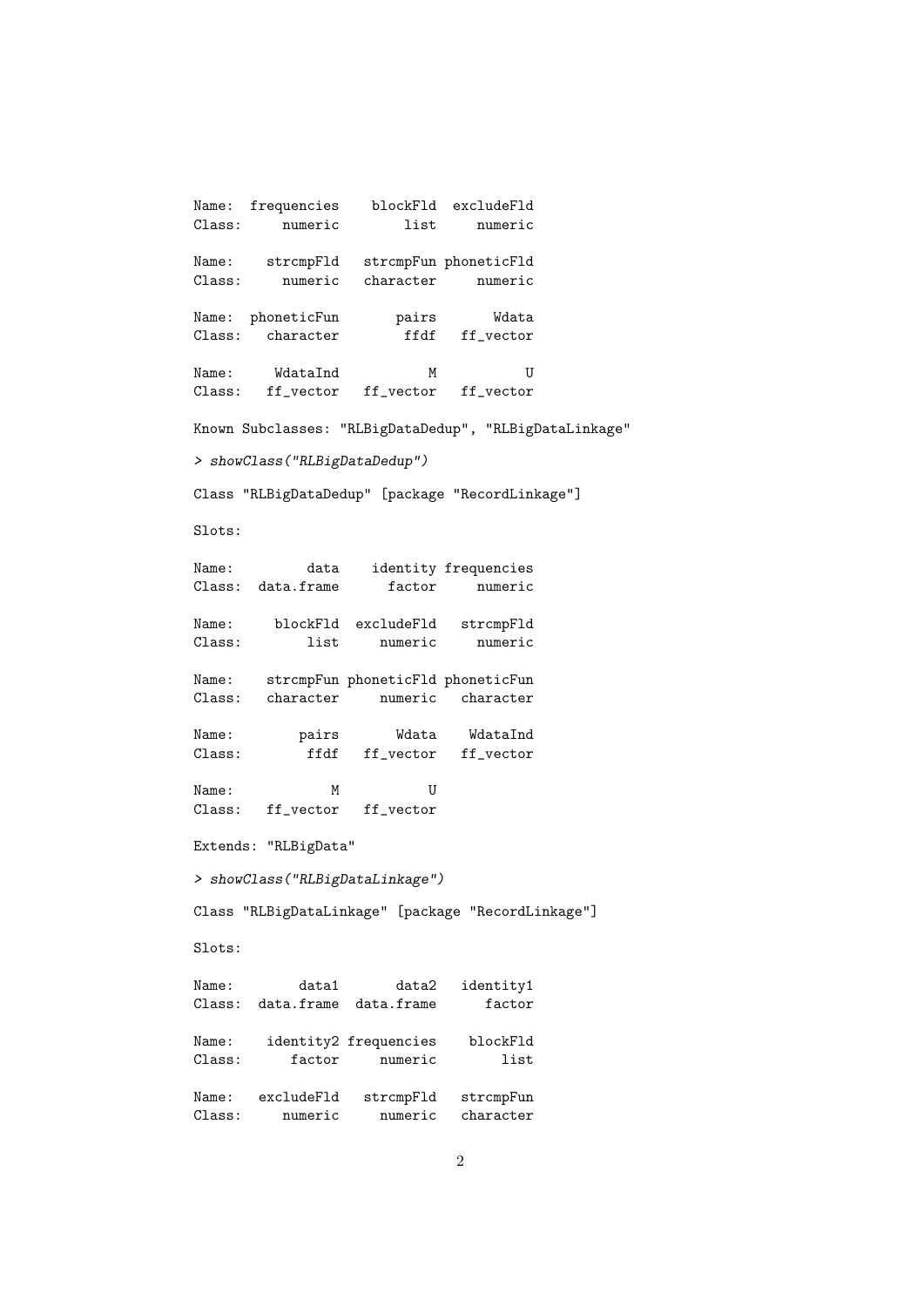Name: frequencies blockFld excludeFld Class: numeric list numeric Name: strcmpFld strcmpFun phoneticFld Class: numeric character numeric Name: phoneticFun pairs Wdata Class: character ffdf ff\_vector Name: WdataInd M U Class: ff\_vector ff\_vector ff\_vector Known Subclasses: "RLBigDataDedup", "RLBigDataLinkage" > showClass("RLBigDataDedup") Class "RLBigDataDedup" [package "RecordLinkage"] Slots: Name: data identity frequencies Class: data.frame factor numeric Name: blockFld excludeFld strcmpFld Class: list numeric numeric Name: strcmpFun phoneticFld phoneticFun Class: character numeric character Name: pairs Wdata WdataInd Class: ffdf ff\_vector ff\_vector Name: M M U Class: ff\_vector ff\_vector Extends: "RLBigData" > showClass("RLBigDataLinkage") Class "RLBigDataLinkage" [package "RecordLinkage"] Slots: Name: data1 data2 identity1 Class: data.frame data.frame factor Name: identity2 frequencies blockFld Class: factor numeric list Name: excludeFld strcmpFld strcmpFun Class: numeric numeric character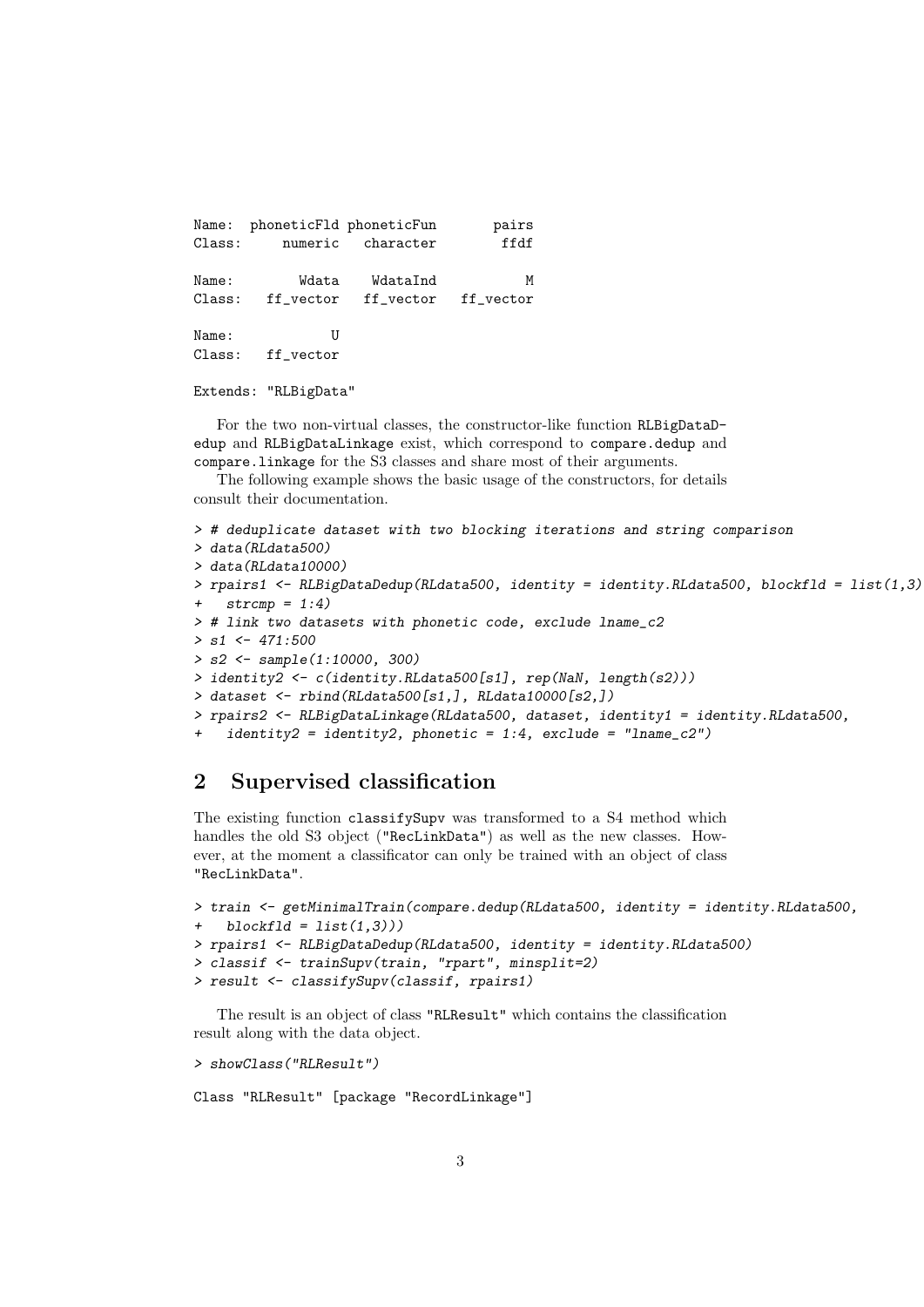Name: phoneticFld phoneticFun pairs Class: numeric character ffdf Name: Wdata WdataInd M Class: ff\_vector ff\_vector ff\_vector Name: U Class: ff\_vector

Extends: "RLBigData"

For the two non-virtual classes, the constructor-like function RLBigDataDedup and RLBigDataLinkage exist, which correspond to compare.dedup and compare.linkage for the S3 classes and share most of their arguments.

The following example shows the basic usage of the constructors, for details consult their documentation.

```
> # deduplicate dataset with two blocking iterations and string comparison
> data(RLdata500)
> data(RLdata10000)
> rpairs1 <- RLBigDataDedup(RLdata500, identity = identity.RLdata500, blockfld = list(1,3),
+ strcmp = 1:4)> # link two datasets with phonetic code, exclude lname_c2
> s1 < -471:500> s2 <- sample(1:10000, 300)
> identity2 <- c(identity.RLdata500[s1], rep(NaN, length(s2)))
> dataset <- rbind(RLdata500[s1,], RLdata10000[s2,])
> rpairs2 <- RLBigDataLinkage(RLdata500, dataset, identity1 = identity.RLdata500,
    identity2 = identity2, phonetic = 1:4, exclude = "lname_c2")
```
#### 2 Supervised classification

The existing function classifySupv was transformed to a S4 method which handles the old S3 object ("RecLinkData") as well as the new classes. However, at the moment a classificator can only be trained with an object of class "RecLinkData".

```
> train <- getMinimalTrain(compare.dedup(RLdata500, identity = identity.RLdata500,
   blockf1d = list(1,3))> rpairs1 <- RLBigDataDedup(RLdata500, identity = identity.RLdata500)
> classif <- trainSupv(train, "rpart", minsplit=2)
> result <- classifySupv(classif, rpairs1)
```
The result is an object of class "RLResult" which contains the classification result along with the data object.

```
> showClass("RLResult")
```
Class "RLResult" [package "RecordLinkage"]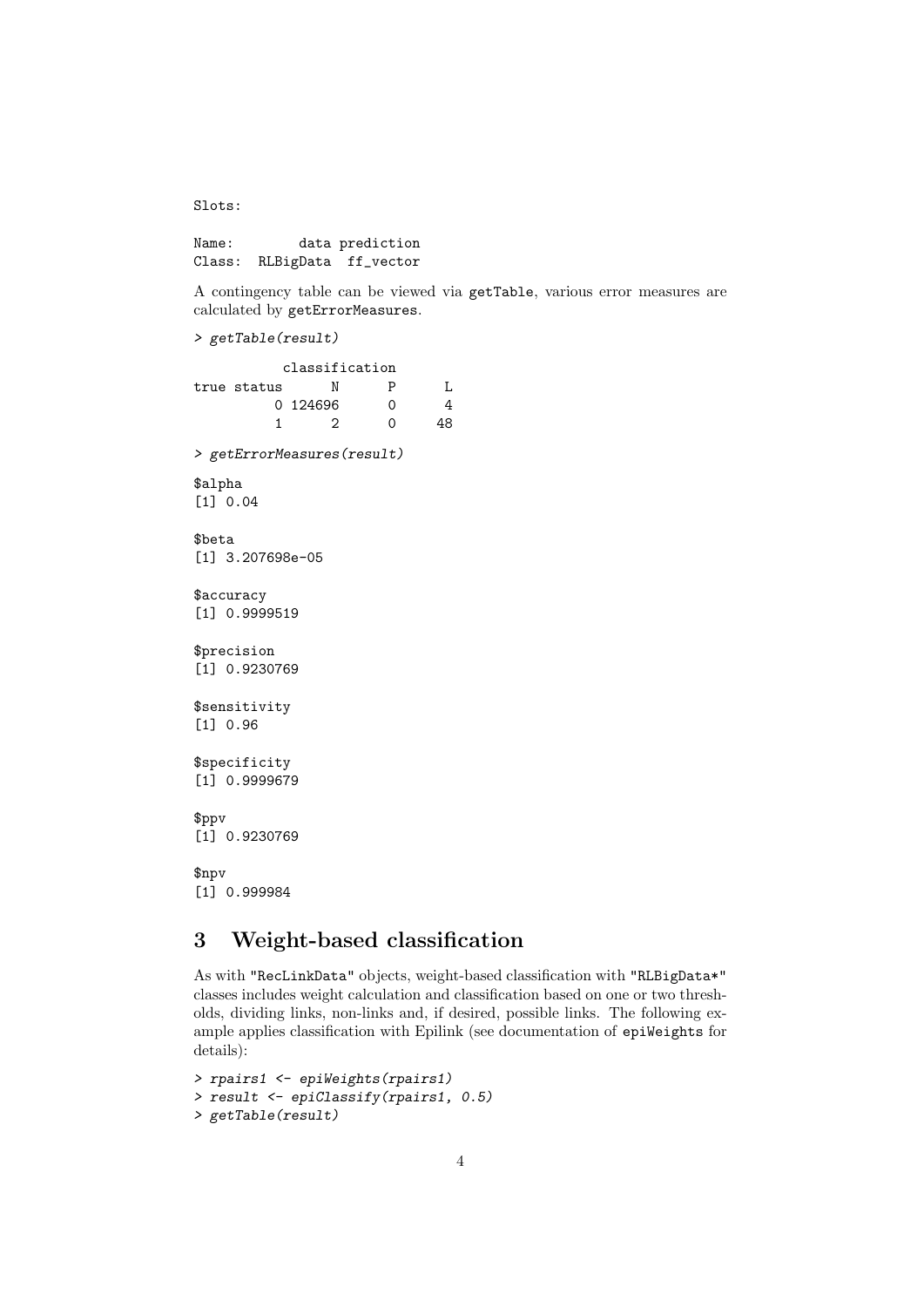Slots:

Name: data prediction Class: RLBigData ff\_vector

A contingency table can be viewed via getTable, various error measures are calculated by getErrorMeasures.

```
> getTable(result)
```
classification true status N P L 0 124696 0 4 1 2 0 48 > getErrorMeasures(result) \$alpha [1] 0.04 \$beta [1] 3.207698e-05 \$accuracy [1] 0.9999519 \$precision [1] 0.9230769 \$sensitivity [1] 0.96 \$specificity [1] 0.9999679 \$ppv [1] 0.9230769 \$npv [1] 0.999984

# 3 Weight-based classification

As with "RecLinkData" objects, weight-based classification with "RLBigData\*" classes includes weight calculation and classification based on one or two thresholds, dividing links, non-links and, if desired, possible links. The following example applies classification with Epilink (see documentation of epiWeights for details):

```
> rpairs1 <- epiWeights(rpairs1)
> result <- epiClassify(rpairs1, 0.5)
> getTable(result)
```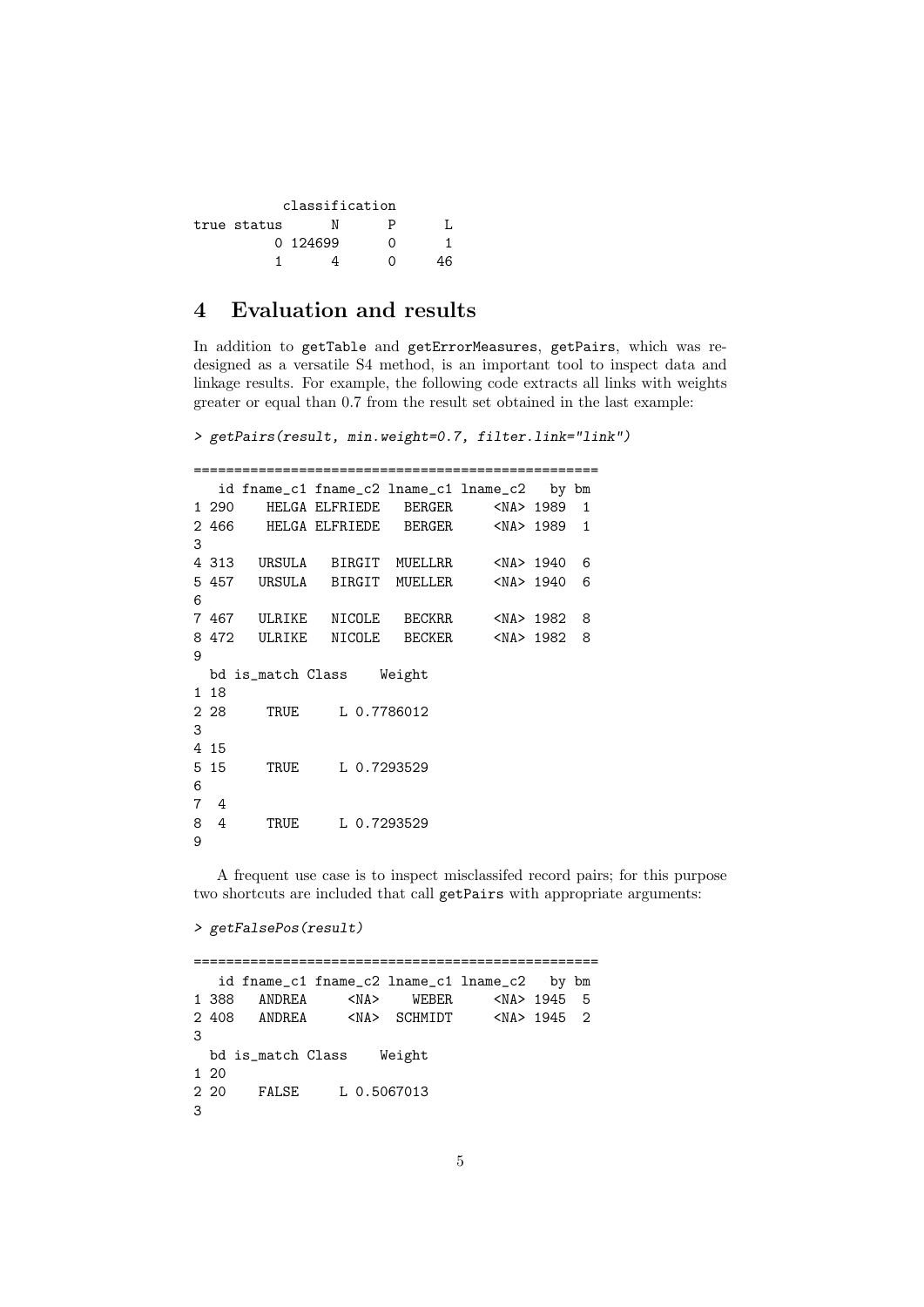| classification |          |   |    |  |
|----------------|----------|---|----|--|
| true status    |          | P |    |  |
|                | 0 124699 | 0 |    |  |
|                |          | 7 | 16 |  |

## 4 Evaluation and results

In addition to getTable and getErrorMeasures, getPairs, which was redesigned as a versatile S4 method, is an important tool to inspect data and linkage results. For example, the following code extracts all links with weights greater or equal than 0.7 from the result set obtained in the last example:

> getPairs(result, min.weight=0.7, filter.link="link")

|   |       | id fname_c1 fname_c2 lname_c1 lname_c2 by bm |                                        |  |   |
|---|-------|----------------------------------------------|----------------------------------------|--|---|
|   | 1 290 |                                              | HELGA ELFRIEDE BERGER <na> 1989 1</na> |  |   |
|   |       | 2 466 HELGA ELFRIEDE BERGER <na> 1989 1</na> |                                        |  |   |
| 3 |       |                                              |                                        |  |   |
|   |       | 4 313 URSULA BIRGIT MUELLRR <na> 1940</na>   |                                        |  | 6 |
|   |       | 5 457 URSULA BIRGIT MUELLER <na> 1940</na>   |                                        |  | 6 |
| 6 |       |                                              |                                        |  |   |
|   |       | 7 467 ULRIKE NICOLE BECKRR <na> 1982</na>    |                                        |  | 8 |
|   |       | 8 472 ULRIKE NICOLE BECKER <na> 1982 8</na>  |                                        |  |   |
| 9 |       |                                              |                                        |  |   |
|   |       | bd is_match Class Weight                     |                                        |  |   |
|   | 1 18  |                                              |                                        |  |   |
|   | 2 28  |                                              | TRUE L 0.7786012                       |  |   |
| 3 |       |                                              |                                        |  |   |
|   | 4 15  |                                              |                                        |  |   |
|   | 5 15  |                                              | TRUE L 0.7293529                       |  |   |
| 6 |       |                                              |                                        |  |   |
| 7 | 4     |                                              |                                        |  |   |
| 8 | 4     |                                              | TRUE L 0.7293529                       |  |   |
| 9 |       |                                              |                                        |  |   |
|   |       |                                              |                                        |  |   |

A frequent use case is to inspect misclassifed record pairs; for this purpose two shortcuts are included that call getPairs with appropriate arguments:

```
> getFalsePos(result)
```
================================================== id fname\_c1 fname\_c2 lname\_c1 lname\_c2 by bm<br>88 ANDREA <NA> WEBER <NA> 1945 5 1 388 ANDREA <NA> WEBER <NA> 1945 5 2 408 ANDREA <NA> SCHMIDT <NA> 1945 2 3 bd is\_match Class Weight 1 20 2 20 FALSE L 0.5067013 3